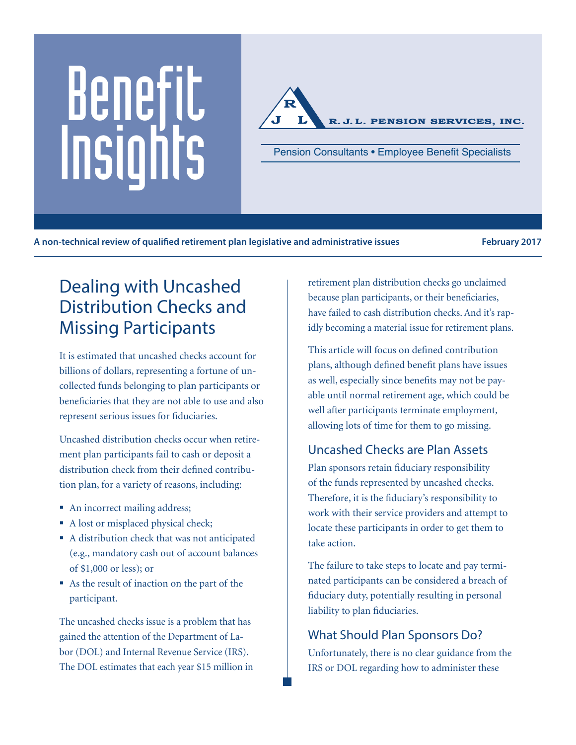# Benefit Pension Consultants • Employee Benefit Specialists<br>
Pension Consultants • Employee Benefit Specialists



**A non-technical review of qualified retirement plan legislative and administrative issues February 2017**

# Dealing with Uncashed Distribution Checks and Missing Participants

It is estimated that uncashed checks account for billions of dollars, representing a fortune of uncollected funds belonging to plan participants or beneficiaries that they are not able to use and also represent serious issues for fiduciaries.

Uncashed distribution checks occur when retirement plan participants fail to cash or deposit a distribution check from their defined contribution plan, for a variety of reasons, including:

- An incorrect mailing address;
- A lost or misplaced physical check;
- A distribution check that was not anticipated (e.g., mandatory cash out of account balances of \$1,000 or less); or
- As the result of inaction on the part of the participant.

The uncashed checks issue is a problem that has gained the attention of the Department of Labor (DOL) and Internal Revenue Service (IRS). The DOL estimates that each year \$15 million in retirement plan distribution checks go unclaimed because plan participants, or their beneficiaries, have failed to cash distribution checks. And it's rapidly becoming a material issue for retirement plans.

This article will focus on defined contribution plans, although defined benefit plans have issues as well, especially since benefits may not be payable until normal retirement age, which could be well after participants terminate employment, allowing lots of time for them to go missing.

# Uncashed Checks are Plan Assets

Plan sponsors retain fiduciary responsibility of the funds represented by uncashed checks. Therefore, it is the fiduciary's responsibility to work with their service providers and attempt to locate these participants in order to get them to take action.

The failure to take steps to locate and pay terminated participants can be considered a breach of fiduciary duty, potentially resulting in personal liability to plan fiduciaries.

# What Should Plan Sponsors Do?

Unfortunately, there is no clear guidance from the IRS or DOL regarding how to administer these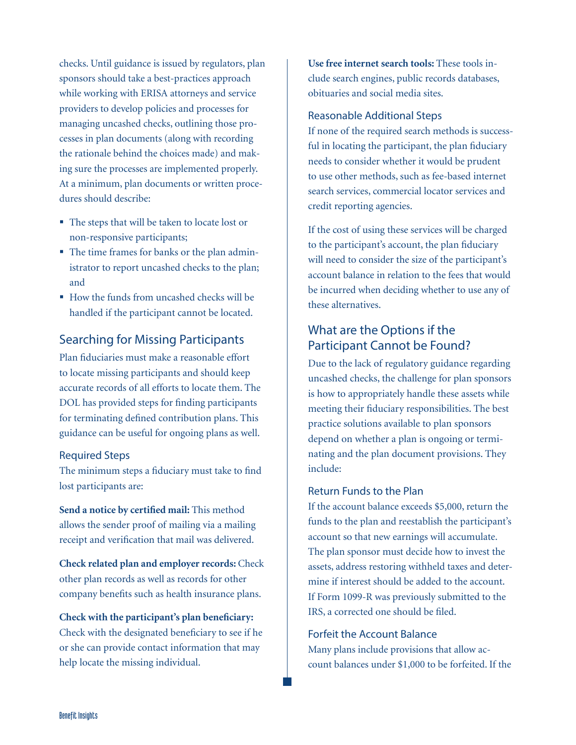checks. Until guidance is issued by regulators, plan sponsors should take a best-practices approach while working with ERISA attorneys and service providers to develop policies and processes for managing uncashed checks, outlining those processes in plan documents (along with recording the rationale behind the choices made) and making sure the processes are implemented properly. At a minimum, plan documents or written procedures should describe:

- The steps that will be taken to locate lost or non-responsive participants;
- The time frames for banks or the plan administrator to report uncashed checks to the plan; and
- How the funds from uncashed checks will be handled if the participant cannot be located.

#### Searching for Missing Participants

Plan fiduciaries must make a reasonable effort to locate missing participants and should keep accurate records of all efforts to locate them. The DOL has provided steps for finding participants for terminating defined contribution plans. This guidance can be useful for ongoing plans as well.

#### Required Steps

The minimum steps a fiduciary must take to find lost participants are:

**Send a notice by certified mail:** This method allows the sender proof of mailing via a mailing receipt and verification that mail was delivered.

**Check related plan and employer records:** Check other plan records as well as records for other company benefits such as health insurance plans.

**Check with the participant's plan beneficiary:** Check with the designated beneficiary to see if he or she can provide contact information that may help locate the missing individual.

**Use free internet search tools:** These tools include search engines, public records databases, obituaries and social media sites.

#### Reasonable Additional Steps

If none of the required search methods is successful in locating the participant, the plan fiduciary needs to consider whether it would be prudent to use other methods, such as fee-based internet search services, commercial locator services and credit reporting agencies.

If the cost of using these services will be charged to the participant's account, the plan fiduciary will need to consider the size of the participant's account balance in relation to the fees that would be incurred when deciding whether to use any of these alternatives.

## What are the Options if the Participant Cannot be Found?

Due to the lack of regulatory guidance regarding uncashed checks, the challenge for plan sponsors is how to appropriately handle these assets while meeting their fiduciary responsibilities. The best practice solutions available to plan sponsors depend on whether a plan is ongoing or terminating and the plan document provisions. They include:

#### Return Funds to the Plan

If the account balance exceeds \$5,000, return the funds to the plan and reestablish the participant's account so that new earnings will accumulate. The plan sponsor must decide how to invest the assets, address restoring withheld taxes and determine if interest should be added to the account. If Form 1099-R was previously submitted to the IRS, a corrected one should be filed.

#### Forfeit the Account Balance

Many plans include provisions that allow account balances under \$1,000 to be forfeited. If the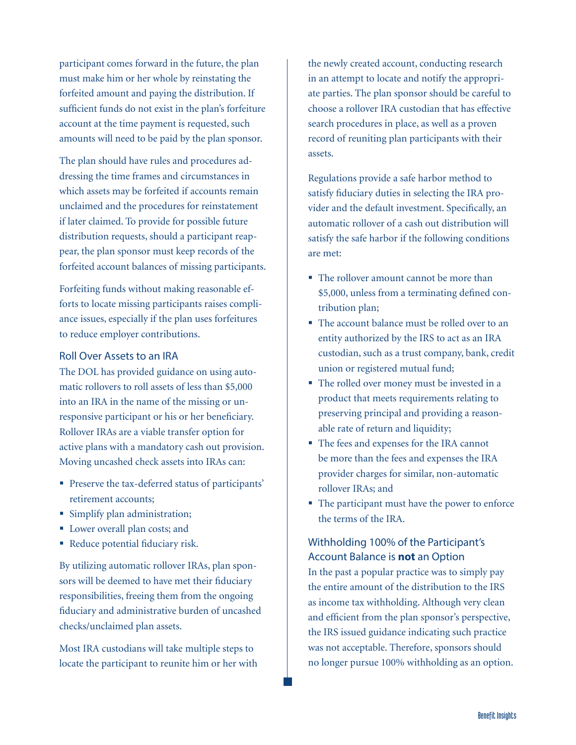participant comes forward in the future, the plan must make him or her whole by reinstating the forfeited amount and paying the distribution. If sufficient funds do not exist in the plan's forfeiture account at the time payment is requested, such amounts will need to be paid by the plan sponsor.

The plan should have rules and procedures addressing the time frames and circumstances in which assets may be forfeited if accounts remain unclaimed and the procedures for reinstatement if later claimed. To provide for possible future distribution requests, should a participant reappear, the plan sponsor must keep records of the forfeited account balances of missing participants.

Forfeiting funds without making reasonable efforts to locate missing participants raises compliance issues, especially if the plan uses forfeitures to reduce employer contributions.

#### Roll Over Assets to an IRA

The DOL has provided guidance on using automatic rollovers to roll assets of less than \$5,000 into an IRA in the name of the missing or unresponsive participant or his or her beneficiary. Rollover IRAs are a viable transfer option for active plans with a mandatory cash out provision. Moving uncashed check assets into IRAs can:

- Preserve the tax-deferred status of participants' retirement accounts;
- Simplify plan administration;
- Lower overall plan costs; and
- Reduce potential fiduciary risk.

By utilizing automatic rollover IRAs, plan sponsors will be deemed to have met their fiduciary responsibilities, freeing them from the ongoing fiduciary and administrative burden of uncashed checks/unclaimed plan assets.

Most IRA custodians will take multiple steps to locate the participant to reunite him or her with the newly created account, conducting research in an attempt to locate and notify the appropriate parties. The plan sponsor should be careful to choose a rollover IRA custodian that has effective search procedures in place, as well as a proven record of reuniting plan participants with their assets.

Regulations provide a safe harbor method to satisfy fiduciary duties in selecting the IRA provider and the default investment. Specifically, an automatic rollover of a cash out distribution will satisfy the safe harbor if the following conditions are met:

- The rollover amount cannot be more than \$5,000, unless from a terminating defined contribution plan;
- The account balance must be rolled over to an entity authorized by the IRS to act as an IRA custodian, such as a trust company, bank, credit union or registered mutual fund;
- The rolled over money must be invested in a product that meets requirements relating to preserving principal and providing a reasonable rate of return and liquidity;
- The fees and expenses for the IRA cannot be more than the fees and expenses the IRA provider charges for similar, non-automatic rollover IRAs; and
- The participant must have the power to enforce the terms of the IRA.

#### Withholding 100% of the Participant's Account Balance is **not** an Option

In the past a popular practice was to simply pay the entire amount of the distribution to the IRS as income tax withholding. Although very clean and efficient from the plan sponsor's perspective, the IRS issued guidance indicating such practice was not acceptable. Therefore, sponsors should no longer pursue 100% withholding as an option.